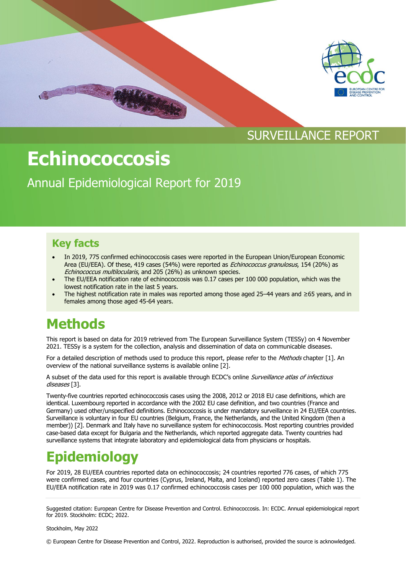

### SURVEILLANCE REPORT

# **Echinococcosis**

Annual Epidemiological Report for 2019

### **Key facts**

- In 2019, 775 confirmed echinococcosis cases were reported in the European Union/European Economic Area (EU/EEA). Of these, 419 cases (54%) were reported as Echinococcus granulosus, 154 (20%) as Echinococcus multilocularis, and 205 (26%) as unknown species.
- The EU/EEA notification rate of echinococcosis was 0.17 cases per 100 000 population, which was the lowest notification rate in the last 5 years.
- The highest notification rate in males was reported among those aged 25–44 years and ≥65 years, and in females among those aged 45-64 years.

# **Methods**

This report is based on data for 2019 retrieved from The European Surveillance System (TESSy) on 4 November 2021. TESSy is a system for the collection, analysis and dissemination of data on communicable diseases.

For a detailed description of methods used to produce this report, please refer to the Methods chapter [1]. An overview of the national surveillance systems is available online [2].

A subset of the data used for this report is available through ECDC's online Surveillance atlas of infectious diseases<sup>[3]</sup>.

Twenty-five countries reported echinococcosis cases using the 2008, 2012 or 2018 EU case definitions, which are identical. Luxembourg reported in accordance with the 2002 EU case definition, and two countries (France and Germany) used other/unspecified definitions. Echinococcosis is under mandatory surveillance in 24 EU/EEA countries. Surveillance is voluntary in four EU countries (Belgium, France, the Netherlands, and the United Kingdom (then a member)) [2]. Denmark and Italy have no surveillance system for echinococcosis. Most reporting countries provided case-based data except for Bulgaria and the Netherlands, which reported aggregate data. Twenty countries had surveillance systems that integrate laboratory and epidemiological data from physicians or hospitals.

# **Epidemiology**

For 2019, 28 EU/EEA countries reported data on echinococcosis; 24 countries reported 776 cases, of which 775 were confirmed cases, and four countries (Cyprus, Ireland, Malta, and Iceland) reported zero cases (Table 1). The EU/EEA notification rate in 2019 was 0.17 confirmed echinococcosis cases per 100 000 population, which was the

Stockholm, May 2022

© European Centre for Disease Prevention and Control, 2022. Reproduction is authorised, provided the source is acknowledged.

Suggested citation: European Centre for Disease Prevention and Control. Echinococcosis. In: ECDC. Annual epidemiological report for 2019. Stockholm: ECDC; 2022.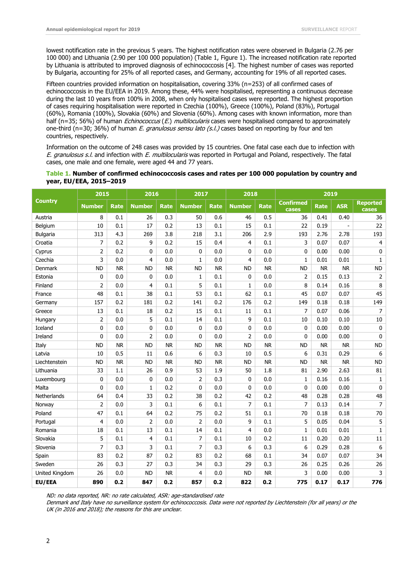lowest notification rate in the previous 5 years. The highest notification rates were observed in Bulgaria (2.76 per 100 000) and Lithuania (2.90 per 100 000 population) (Table 1, Figure 1). The increased notification rate reported by Lithuania is attributed to improved diagnosis of echinococcosis [4]. The highest number of cases was reported by Bulgaria, accounting for 25% of all reported cases, and Germany, accounting for 19% of all reported cases.

Fifteen countries provided information on hospitalisation, covering 33% (n=253) of all confirmed cases of echinococcosis in the EU/EEA in 2019. Among these, 44% were hospitalised, representing a continuous decrease during the last 10 years from 100% in 2008, when only hospitalised cases were reported. The highest proportion of cases requiring hospitalisation were reported in Czechia (100%), Greece (100%), Poland (83%), Portugal (60%), Romania (100%), Slovakia (60%) and Slovenia (60%). Among cases with known information, more than half (n=35; 56%) of human *Echinococcus (E.) multilocularis* cases were hospitalised compared to approximately one-third (n=30; 36%) of human E. granulosus sensu lato (s.l.) cases based on reporting by four and ten countries, respectively.

Information on the outcome of 248 cases was provided by 15 countries. One fatal case each due to infection with E. granulosus s.l. and infection with E. multilocularis was reported in Portugal and Poland, respectively. The fatal cases, one male and one female, were aged 44 and 77 years.

#### **Table 1. Number of confirmed echinococcosis cases and rates per 100 000 population by country and year, EU/EEA, 2015–2019**

|                    | 2015           |             | 2016           |             | 2017           |             | 2018           |             | 2019                      |             |            |                                 |  |
|--------------------|----------------|-------------|----------------|-------------|----------------|-------------|----------------|-------------|---------------------------|-------------|------------|---------------------------------|--|
| <b>Country</b>     | <b>Number</b>  | <b>Rate</b> | <b>Number</b>  | <b>Rate</b> | <b>Number</b>  | <b>Rate</b> | <b>Number</b>  | <b>Rate</b> | <b>Confirmed</b><br>cases | <b>Rate</b> | <b>ASR</b> | <b>Reported</b><br><b>cases</b> |  |
| Austria            | 8              | 0.1         | 26             | 0.3         | 50             | 0.6         | 46             | 0.5         | 36<br>0.41                |             | 0.40       | 36                              |  |
| Belgium            | 10             | 0.1         | 17             | 0.2         | 13             | 0.1         | 15             | 0.1         | 22                        | 0.19        |            | 22                              |  |
| <b>Bulgaria</b>    | 313            | 4.3         | 269            | 3.8         | 218            | 3.1         | 206            | 2.9         | 193                       | 2.76        | 2.78       | 193                             |  |
| Croatia            | 7              | 0.2         | 9              | 0.2         | 15             | 0.4         | 4              | 0.1         | 3                         | 0.07        | 0.07       | $\overline{4}$                  |  |
| Cyprus             | $\overline{2}$ | 0.2         | 0              | 0.0         | 0              | 0.0         | 0              | 0.0         | 0                         | 0.00        | 0.00       | $\pmb{0}$                       |  |
| Czechia            | 3              | 0.0         | 4              | 0.0         | $\mathbf{1}$   | 0.0         | 4              | 0.0         | $\mathbf{1}$              | 0.01        | 0.01       | $\mathbf{1}$                    |  |
| <b>Denmark</b>     | <b>ND</b>      | <b>NR</b>   | <b>ND</b>      | <b>NR</b>   | <b>ND</b>      | <b>NR</b>   | <b>ND</b>      | <b>NR</b>   | <b>ND</b>                 | <b>NR</b>   | <b>NR</b>  | <b>ND</b>                       |  |
| Estonia            | 0              | 0.0         | 0              | 0.0         | $\mathbf{1}$   | 0.1         | 0              | 0.0         | $\overline{2}$            | 0.15        | 0.13       | $\overline{2}$                  |  |
| Finland            | $\overline{2}$ | 0.0         | 4              | 0.1         | 5              | 0.1         | 1              | 0.0         | 8                         | 0.14        | 0.16       | 8                               |  |
| France             | 48             | 0.1         | 38             | 0.1         | 53             | 0.1         | 62             | 0.1         | 45                        | 0.07        | 0.07       | 45                              |  |
| Germany            | 157            | 0.2         | 181            | 0.2         | 141            | 0.2         | 176            | 0.2         | 149                       | 0.18        | 0.18       | 149                             |  |
| Greece             | 13             | 0.1         | 18             | 0.2         | 15             | 0.1         | 11             | 0.1         | 7                         | 0.07        | 0.06       | $\overline{7}$                  |  |
| Hungary            | $\overline{2}$ | 0.0         | 5              | 0.1         | 14             | 0.1         | 9              | 0.1         | 10                        | 0.10        | 0.10       | $10\,$                          |  |
| Iceland            | $\mathbf 0$    | 0.0         | 0              | 0.0         | $\mathbf{0}$   | 0.0         | 0              | 0.0         | 0                         | 0.00        | 0.00       | 0                               |  |
| Ireland            | $\mathbf{0}$   | 0.0         | $\overline{2}$ | 0.0         | $\Omega$       | 0.0         | $\overline{2}$ | 0.0         | 0                         | 0.00        | 0.00       | $\mathbf 0$                     |  |
| Italv              | <b>ND</b>      | <b>NR</b>   | <b>ND</b>      | <b>NR</b>   | <b>ND</b>      | <b>NR</b>   | <b>ND</b>      | <b>NR</b>   | <b>ND</b>                 | <b>NR</b>   | <b>NR</b>  | <b>ND</b>                       |  |
| Latvia             | 10             | 0.5         | 11             | 0.6         | 6              | 0.3         | 10             | 0.5         | 6                         | 0.31        | 0.29       | $\boldsymbol{6}$                |  |
| Liechtenstein      | <b>ND</b>      | <b>NR</b>   | <b>ND</b>      | <b>NR</b>   | <b>ND</b>      | <b>NR</b>   | <b>ND</b>      | <b>NR</b>   | <b>ND</b>                 | <b>NR</b>   | <b>NR</b>  | <b>ND</b>                       |  |
| Lithuania          | 33             | 1.1         | 26             | 0.9         | 53             | 1.9         | 50             | 1.8         | 81                        | 2.90        | 2.63       | 81                              |  |
| Luxembourg         | 0              | 0.0         | 0              | 0.0         | $\overline{2}$ | 0.3         | 0              | 0.0         | $\mathbf{1}$              | 0.16        | 0.16       | $\mathbf{1}$                    |  |
| Malta              | 0              | 0.0         | 1              | 0.2         | $\Omega$       | 0.0         | 0              | 0.0         | 0                         | 0.00        | 0.00       | 0                               |  |
| <b>Netherlands</b> | 64             | 0.4         | 33             | 0.2         | 38             | 0.2         | 42             | 0.2         | 48                        | 0.28        | 0.28       | 48                              |  |
| Norway             | $\overline{2}$ | 0.0         | 3              | 0.1         | 6              | 0.1         | $\overline{7}$ | 0.1         | 7                         | 0.13        | 0.14       | $\overline{7}$                  |  |
| Poland             | 47             | 0.1         | 64             | 0.2         | 75             | 0.2         | 51             | 0.1         | 70                        | 0.18        | 0.18       | $70\,$                          |  |
| Portugal           | 4              | 0.0         | $\overline{2}$ | 0.0         | $\overline{2}$ | 0.0         | 9              | 0.1         | 5                         | 0.05        | 0.04       | 5                               |  |
| Romania            | 18             | 0.1         | 13             | 0.1         | 14             | 0.1         | 4              | 0.0         | $\mathbf 1$               | 0.01        | 0.01       | $\mathbf{1}$                    |  |
| Slovakia           | 5              | 0.1         | 4              | 0.1         | $\overline{7}$ | 0.1         | 10             | 0.2         | 11                        | 0.20        | 0.20       | 11                              |  |
| Slovenia           | $\overline{7}$ | 0.3         | 3              | 0.1         | $\overline{7}$ | 0.3         | 6              | 0.3         | 6                         | 0.29        | 0.28       | $\boldsymbol{6}$                |  |
| Spain              | 83             | 0.2         | 87             | 0.2         | 83             | 0.2         | 68             | 0.1         | 34                        | 0.07        | 0.07       | 34                              |  |
| Sweden             | 26             | 0.3         | 27             | 0.3         | 34             | 0.3         | 29             | 0.3         | 26                        | 0.25        | 0.26       | 26                              |  |
| United Kingdom     | 26             | 0.0         | <b>ND</b>      | <b>NR</b>   | $\overline{4}$ | 0.0         | <b>ND</b>      | <b>NR</b>   | 3                         | 0.00        | 0.00       | 3                               |  |
| EU/EEA             | 890            | 0.2         | 847            | 0.2         | 857            | 0.2         | 822            | 0.2         | 775                       | 0.17        | 0.17       | 776                             |  |

ND: no data reported, NR: no rate calculated, ASR: age-standardised rate

Denmark and Italy have no surveillance system for echinococcosis. Data were not reported by Liechtenstein (for all years) or the UK (in 2016 and 2018); the reasons for this are unclear.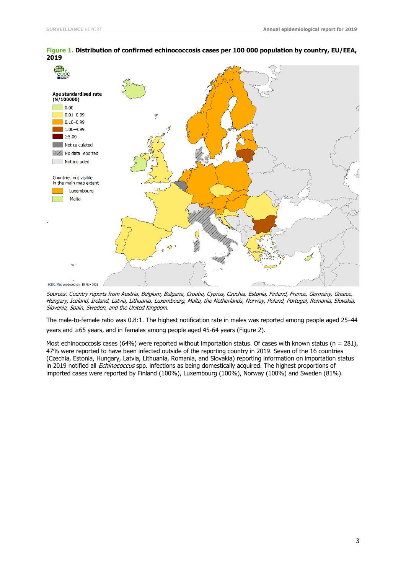

#### **Figure 1. Distribution of confirmed echinococcosis cases per 100 000 population by country, EU/EEA, 2019**

Sources: Country reports from Austria, Belgium, Bulgaria, Croatia, Cyprus, Czechia, Estonia, Finland, France, Germany, Greece, Hungary, Iceland, Ireland, Latvia, Lithuania, Luxembourg, Malta, the Netherlands, Norway, Poland, Portugal, Romania, Slovakia, Slovenia, Spain, Sweden, and the United Kingdom.

The male-to-female ratio was 0.8:1. The highest notification rate in males was reported among people aged 25–44 years and ≥65 years, and in females among people aged 45-64 years (Figure 2).

Most echinococcosis cases (64%) were reported without importation status. Of cases with known status (n = 281), 47% were reported to have been infected outside of the reporting country in 2019. Seven of the 16 countries (Czechia, Estonia, Hungary, Latvia, Lithuania, Romania, and Slovakia) reporting information on importation status in 2019 notified all *Echinococcus* spp. infections as being domestically acquired. The highest proportions of imported cases were reported by Finland (100%), Luxembourg (100%), Norway (100%) and Sweden (81%).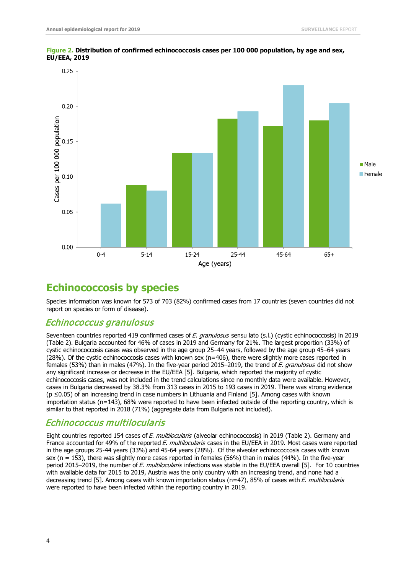

**Figure 2. Distribution of confirmed echinococcosis cases per 100 000 population, by age and sex, EU/EEA, 2019**

### **Echinococcosis by species**

Species information was known for 573 of 703 (82%) confirmed cases from 17 countries (seven countries did not report on species or form of disease).

#### Echinococcus granulosus

Seventeen countries reported 419 confirmed cases of E. granulosus sensu lato (s.l.) (cystic echinococcosis) in 2019 (Table 2). Bulgaria accounted for 46% of cases in 2019 and Germany for 21%. The largest proportion (33%) of cystic echinococcosis cases was observed in the age group 25–44 years, followed by the age group 45–64 years (28%). Of the cystic echinococcosis cases with known sex (n=406), there were slightly more cases reported in females (53%) than in males (47%). In the five-year period 2015–2019, the trend of E. granulosus did not show any significant increase or decrease in the EU/EEA [5]. Bulgaria, which reported the majority of cystic echinococcosis cases, was not included in the trend calculations since no monthly data were available. However, cases in Bulgaria decreased by 38.3% from 313 cases in 2015 to 193 cases in 2019. There was strong evidence (p ≤0.05) of an increasing trend in case numbers in Lithuania and Finland [5]. Among cases with known importation status (n=143), 68% were reported to have been infected outside of the reporting country, which is similar to that reported in 2018 (71%) (aggregate data from Bulgaria not included).

### Echinococcus multilocularis

Eight countries reported 154 cases of E. multilocularis (alveolar echinococcosis) in 2019 (Table 2). Germany and France accounted for 49% of the reported E. multilocularis cases in the EU/EEA in 2019. Most cases were reported in the age groups 25-44 years (33%) and 45-64 years (28%). Of the alveolar echinococcosis cases with known sex (n = 153), there was slightly more cases reported in females (56%) than in males (44%). In the five-year period 2015–2019, the number of E. multilocularis infections was stable in the EU/EEA overall [5]. For 10 countries with available data for 2015 to 2019, Austria was the only country with an increasing trend, and none had a decreasing trend [5]. Among cases with known importation status (n=47), 85% of cases with E. multilocularis were reported to have been infected within the reporting country in 2019.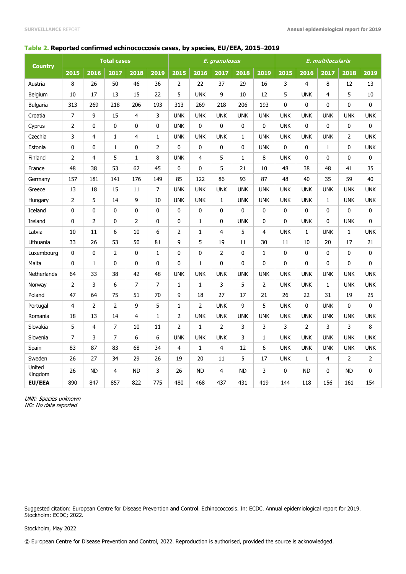#### **Table 2. Reported confirmed echinococcosis cases, by species, EU/EEA, 2015**–**2019**

| <b>Country</b>    | <b>Total cases</b> |                |                |                |              |                |                | E. granulosus  |              |                | E. multilocularis |                |              |             |              |  |
|-------------------|--------------------|----------------|----------------|----------------|--------------|----------------|----------------|----------------|--------------|----------------|-------------------|----------------|--------------|-------------|--------------|--|
|                   | 2015               | 2016           | 2017           | 2018           | 2019         | 2015           | 2016           | 2017           | 2018         | 2019           | 2015              | 2016           | 2017         | 2018        | 2019         |  |
| Austria           | 8                  | 26             | 50             | 46             | 36           | $\overline{2}$ | 22             | 37             | 29           | 16             | 3                 | 4              | 8            | 12          | 13           |  |
| Belgium           | 10                 | 17             | 13             | 15             | 22           | 5              | <b>UNK</b>     | 9              | 10           | 12             | 5                 | <b>UNK</b>     | 4            | 5           | 10           |  |
| <b>Bulgaria</b>   | 313                | 269            | 218            | 206            | 193          | 313            | 269            | 218            | 206          | 193            | 0                 | 0              | 0            | 0           | $\mathbf 0$  |  |
| Croatia           | $\overline{7}$     | 9              | 15             | 4              | 3            | <b>UNK</b>     | <b>UNK</b>     | <b>UNK</b>     | <b>UNK</b>   | <b>UNK</b>     | <b>UNK</b>        | <b>UNK</b>     | <b>UNK</b>   | <b>UNK</b>  | <b>UNK</b>   |  |
| Cyprus            | $\overline{2}$     | 0              | 0              | 0              | 0            | <b>UNK</b>     | 0              | $\mathbf{0}$   | $\mathbf{0}$ | 0              | <b>UNK</b>        | $\mathbf{0}$   | $\mathbf{0}$ | 0           | $\mathbf{0}$ |  |
| Czechia           | 3                  | $\overline{4}$ | $\mathbf{1}$   | 4              | $\mathbf{1}$ | <b>UNK</b>     | <b>UNK</b>     | <b>UNK</b>     | $\mathbf{1}$ | <b>UNK</b>     | <b>UNK</b>        | <b>UNK</b>     | <b>UNK</b>   | 2           | <b>UNK</b>   |  |
| Estonia           | 0                  | 0              | $\mathbf{1}$   | $\mathbf{0}$   | 2            | 0              | 0              | 0              | $\mathbf{0}$ | <b>UNK</b>     | 0                 | 0              | $\mathbf{1}$ | 0           | <b>UNK</b>   |  |
| Finland           | $\overline{2}$     | $\overline{4}$ | 5              | $\mathbf{1}$   | 8            | <b>UNK</b>     | $\overline{4}$ | 5              | $\mathbf{1}$ | 8              | <b>UNK</b>        | $\mathbf{0}$   | $\mathbf{0}$ | $\mathbf 0$ | $\mathbf 0$  |  |
| France            | 48                 | 38             | 53             | 62             | 45           | 0              | $\Omega$       | 5              | 21           | 10             | 48                | 38             | 48           | 41          | 35           |  |
| Germany           | 157                | 181            | 141            | 176            | 149          | 85             | 122            | 86             | 93           | 87             | 48                | 40             | 35           | 59          | 40           |  |
| Greece            | 13                 | 18             | 15             | 11             | 7            | <b>UNK</b>     | <b>UNK</b>     | <b>UNK</b>     | <b>UNK</b>   | <b>UNK</b>     | <b>UNK</b>        | <b>UNK</b>     | <b>UNK</b>   | <b>UNK</b>  | <b>UNK</b>   |  |
| Hungary           | $\overline{2}$     | 5              | 14             | 9              | 10           | <b>UNK</b>     | <b>UNK</b>     | $\mathbf{1}$   | <b>UNK</b>   | <b>UNK</b>     | <b>UNK</b>        | <b>UNK</b>     | $\mathbf{1}$ | <b>UNK</b>  | <b>UNK</b>   |  |
| Iceland           | 0                  | 0              | 0              | 0              | 0            | 0              | 0              | $\mathbf{0}$   | $\mathbf{0}$ | 0              | 0                 | 0              | $\mathbf{0}$ | 0           | $\mathbf 0$  |  |
| Ireland           | 0                  | 2              | $\mathbf{0}$   | $\overline{2}$ | 0            | 0              | $\mathbf{1}$   | $\mathbf{0}$   | <b>UNK</b>   | 0              | 0                 | <b>UNK</b>     | $\mathbf{0}$ | <b>UNK</b>  | $\mathbf 0$  |  |
| Latvia            | 10                 | 11             | 6              | 10             | 6            | $\overline{2}$ | $\mathbf{1}$   | $\overline{4}$ | 5            | 4              | <b>UNK</b>        | $\mathbf{1}$   | <b>UNK</b>   | 1           | <b>UNK</b>   |  |
| Lithuania         | 33                 | 26             | 53             | 50             | 81           | 9              | 5              | 19             | 11           | 30             | 11                | 10             | 20           | 17          | 21           |  |
| Luxembourg        | 0                  | 0              | $\overline{2}$ | 0              | $\mathbf{1}$ | 0              | $\mathbf{0}$   | $\overline{2}$ | $\mathbf{0}$ | $\mathbf{1}$   | 0                 | $\Omega$       | $\mathbf{0}$ | 0           | $\mathbf 0$  |  |
| Malta             | 0                  | $\mathbf{1}$   | 0              | 0              | 0            | 0              | $\mathbf{1}$   | $\mathbf{0}$   | $\mathbf{0}$ | $\mathbf 0$    | 0                 | 0              | 0            | 0           | 0            |  |
| Netherlands       | 64                 | 33             | 38             | 42             | 48           | <b>UNK</b>     | <b>UNK</b>     | <b>UNK</b>     | <b>UNK</b>   | <b>UNK</b>     | <b>UNK</b>        | <b>UNK</b>     | <b>UNK</b>   | <b>UNK</b>  | <b>UNK</b>   |  |
| Norway            | $\overline{2}$     | 3              | 6              | 7              | 7            | $\mathbf{1}$   | $\mathbf{1}$   | 3              | 5            | $\overline{2}$ | <b>UNK</b>        | <b>UNK</b>     | $\mathbf{1}$ | <b>UNK</b>  | <b>UNK</b>   |  |
| Poland            | 47                 | 64             | 75             | 51             | 70           | 9              | 18             | 27             | 17           | 21             | 26                | 22             | 31           | 19          | 25           |  |
| Portugal          | 4                  | $\overline{2}$ | $\overline{2}$ | 9              | 5            | $\mathbf{1}$   | 2              | <b>UNK</b>     | 9            | 5              | <b>UNK</b>        | 0              | <b>UNK</b>   | 0           | $\mathbf{0}$ |  |
| Romania           | 18                 | 13             | 14             | 4              | $\mathbf{1}$ | 2              | <b>UNK</b>     | <b>UNK</b>     | <b>UNK</b>   | <b>UNK</b>     | <b>UNK</b>        | <b>UNK</b>     | <b>UNK</b>   | <b>UNK</b>  | <b>UNK</b>   |  |
| Slovakia          | 5                  | 4              | 7              | 10             | 11           | $\overline{2}$ | $\mathbf{1}$   | $\overline{2}$ | 3            | 3              | 3                 | $\overline{2}$ | 3            | 3           | 8            |  |
| Slovenia          | $\overline{7}$     | 3              | $\overline{7}$ | 6              | 6            | <b>UNK</b>     | <b>UNK</b>     | <b>UNK</b>     | 3            | $\mathbf{1}$   | <b>UNK</b>        | <b>UNK</b>     | <b>UNK</b>   | <b>UNK</b>  | <b>UNK</b>   |  |
| Spain             | 83                 | 87             | 83             | 68             | 34           | 4              | $\mathbf{1}$   | $\overline{4}$ | 12           | 6              | <b>UNK</b>        | <b>UNK</b>     | <b>UNK</b>   | <b>UNK</b>  | <b>UNK</b>   |  |
| Sweden            | 26                 | 27             | 34             | 29             | 26           | 19             | 20             | 11             | 5            | 17             | <b>UNK</b>        | 1              | 4            | 2           | 2            |  |
| United<br>Kingdom | 26                 | <b>ND</b>      | 4              | <b>ND</b>      | 3            | 26             | <b>ND</b>      | 4              | <b>ND</b>    | 3              | $\mathbf{0}$      | <b>ND</b>      | 0            | <b>ND</b>   | $\Omega$     |  |
| EU/EEA            | 890                | 847            | 857            | 822            | 775          | 480            | 468            | 437            | 431          | 419            | 144               | 118            | 156          | 161         | 154          |  |

UNK: Species unknown ND: No data reported

Suggested citation: European Centre for Disease Prevention and Control. Echinococcosis. In: ECDC. Annual epidemiological report for 2019. Stockholm: ECDC; 2022.

#### Stockholm, May 2022

© European Centre for Disease Prevention and Control, 2022. Reproduction is authorised, provided the source is acknowledged.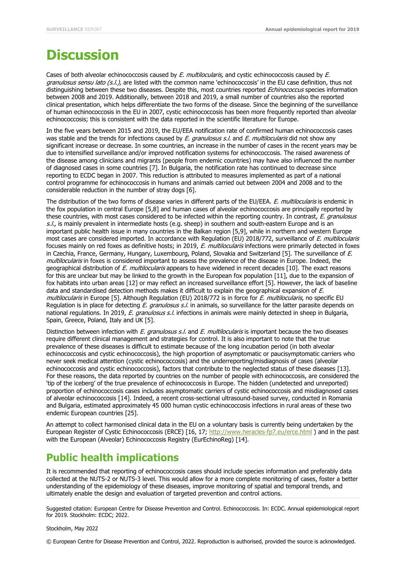## **Discussion**

Cases of both alveolar echinococcosis caused by E. multilocularis, and cystic echinococcosis caused by E. granulosus sensu lato (s.l.), are listed with the common name 'echinococcosis' in the EU case definition, thus not distinguishing between these two diseases. Despite this, most countries reported Echinococcus species information between 2008 and 2019. Additionally, between 2018 and 2019, a small number of countries also the reported clinical presentation, which helps differentiate the two forms of the disease. Since the beginning of the surveillance of human echinococcosis in the EU in 2007, cystic echinococcosis has been more frequently reported than alveolar echinococcosis; this is consistent with the data reported in the scientific literature for Europe.

In the five years between 2015 and 2019, the EU/EEA notification rate of confirmed human echinococcosis cases was stable and the trends for infections caused by E. granulosus s.l. and E. multilocularis did not show any significant increase or decrease. In some countries, an increase in the number of cases in the recent years may be due to intensified surveillance and/or improved notification systems for echinococcosis. The raised awareness of the disease among clinicians and migrants (people from endemic countries) may have also influenced the number of diagnosed cases in some countries [7]. In Bulgaria, the notification rate has continued to decrease since reporting to ECDC began in 2007. This reduction is attributed to measures implemented as part of a national control programme for echinococcosis in humans and animals carried out between 2004 and 2008 and to the considerable reduction in the number of stray dogs [6].

The distribution of the two forms of disease varies in different parts of the EU/EEA. E. multilocularis is endemic in the fox population in central Europe [5,8] and human cases of alveolar echinococcosis are principally reported by these countries, with most cases considered to be infected within the reporting country. In contrast, E, granulosus s.l., is mainly prevalent in intermediate hosts (e.g. sheep) in southern and south-eastern Europe and is an important public health issue in many countries in the Balkan region [5,9], while in northern and western Europe most cases are considered imported. In accordance with Regulation (EU) 2018/772, surveillance of E. multilocularis focuses mainly on red foxes as definitive hosts; in 2019, E. multilocularis infections were primarily detected in foxes in Czechia, France, Germany, Hungary, Luxembourg, Poland, Slovakia and Switzerland [5]. The surveillance of E. multilocularis in foxes is considered important to assess the prevalence of the disease in Europe. Indeed, the geographical distribution of E. multilocularis appears to have widened in recent decades [10]. The exact reasons for this are unclear but may be linked to the growth in the European fox population [11], due to the expansion of fox habitats into urban areas [12] or may reflect an increased surveillance effort [5]. However, the lack of baseline data and standardised detection methods makes it difficult to explain the geographical expansion of E. multilocularis in Europe [5]. Although Regulation (EU) 2018/772 is in force for E. multilocularis, no specific EU Regulation is in place for detecting E. granulosus s.l. in animals, so surveillance for the latter parasite depends on national regulations. In 2019, E. granulosus s.l. infections in animals were mainly detected in sheep in Bulgaria, Spain, Greece, Poland, Italy and UK [5].

Distinction between infection with  $E$ . granulosus s.l. and  $E$ . multilocularis is important because the two diseases require different clinical management and strategies for control. It is also important to note that the true prevalence of these diseases is difficult to estimate because of the long incubation period (in both alveolar echinococcosis and cystic echinococcosis), the high proportion of asymptomatic or paucisymptomatic carriers who never seek medical attention (cystic echinococcosis) and the underreporting/misdiagnosis of cases (alveolar echinococcosis and cystic echinococcosis), factors that contribute to the neglected status of these diseases [13]. For these reasons, the data reported by countries on the number of people with echinococcosis, are considered the 'tip of the iceberg' of the true prevalence of echinococcosis in Europe. The hidden (undetected and unreported) proportion of echinococcosis cases includes asymptomatic carriers of cystic echinococcosis and misdiagnosed cases of alveolar echinococcosis [14]. Indeed, a recent cross-sectional ultrasound-based survey, conducted in Romania and Bulgaria, estimated approximately 45 000 human cystic echinococcosis infections in rural areas of these two endemic European countries [25].

An attempt to collect harmonised clinical data in the EU on a voluntary basis is currently being undertaken by the European Register of Cystic Echinococcosis (ERCE) [16, 17;<http://www.heracles-fp7.eu/erce.html> ) and in the past with the European (Alveolar) Echinococcosis Registry (EurEchinoReg) [14].

### **Public health implications**

It is recommended that reporting of echinococcosis cases should include species information and preferably data collected at the NUTS-2 or NUTS-3 level. This would allow for a more complete monitoring of cases, foster a better understanding of the epidemiology of these diseases, improve monitoring of spatial and temporal trends, and ultimately enable the design and evaluation of targeted prevention and control actions.

Suggested citation: European Centre for Disease Prevention and Control. Echinococcosis. In: ECDC. Annual epidemiological report for 2019. Stockholm: ECDC; 2022.

Stockholm, May 2022

© European Centre for Disease Prevention and Control, 2022. Reproduction is authorised, provided the source is acknowledged.